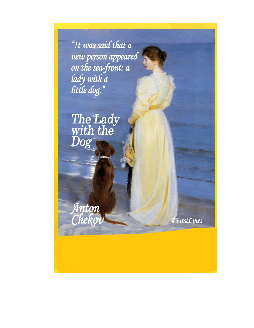"It was said that a new person appeared<br>on the sea-front: a lady with a

The Lady<br>with the<br>Dog

Anton<br>Chekov

#FirstLines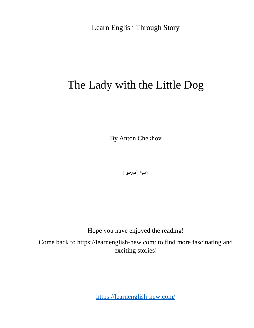Learn English Through Story

## The Lady with the Little Dog

By Anton Chekhov

Level 5-6

Hope you have enjoyed the reading!

Come back to https://learnenglish-new.com/ to find more fascinating and exciting stories!

<https://learnenglish-new.com/>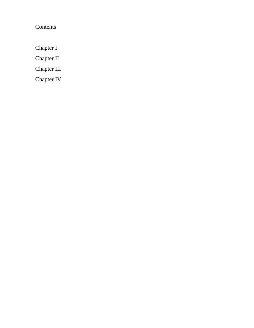Contents

Chapter I

Chapter II

Chapter III

Chapter IV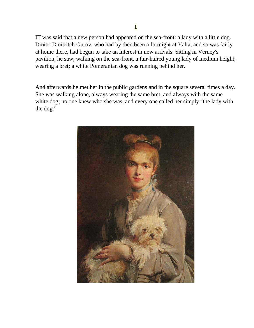IT was said that a new person had appeared on the sea-front: a lady with a little dog. Dmitri Dmitritch Gurov, who had by then been a fortnight at Yalta, and so was fairly at home there, had begun to take an interest in new arrivals. Sitting in Verney's pavilion, he saw, walking on the sea-front, a fair-haired young lady of medium height, wearing a bret; a white Pomeranian dog was running behind her.

And afterwards he met her in the public gardens and in the square several times a day. She was walking alone, always wearing the same bret, and always with the same white dog; no one knew who she was, and every one called her simply "the lady with the dog."

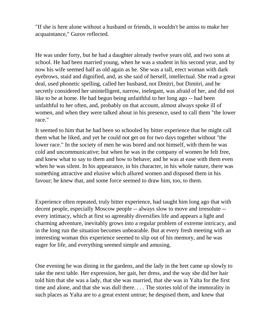"If she is here alone without a husband or friends, it wouldn't be amiss to make her acquaintance," Gurov reflected.

He was under forty, but he had a daughter already twelve years old, and two sons at school. He had been married young, when he was a student in his second year, and by now his wife seemed half as old again as he. She was a tall, erect woman with dark eyebrows, staid and dignified, and, as she said of herself, intellectual. She read a great deal, used phonetic spelling, called her husband, not Dmitri, but Dimitri, and he secretly considered her unintelligent, narrow, inelegant, was afraid of her, and did not like to be at home. He had begun being unfaithful to her long ago -- had been unfaithful to her often, and, probably on that account, almost always spoke ill of women, and when they were talked about in his presence, used to call them "the lower race."

It seemed to him that he had been so schooled by bitter experience that he might call them what he liked, and yet he could not get on for two days together without "the lower race." In the society of men he was bored and not himself, with them he was cold and uncommunicative; but when he was in the company of women he felt free, and knew what to say to them and how to behave; and he was at ease with them even when he was silent. In his appearance, in his character, in his whole nature, there was something attractive and elusive which allured women and disposed them in his favour; he knew that, and some force seemed to draw him, too, to them.

Experience often repeated, truly bitter experience, had taught him long ago that with decent people, especially Moscow people -- always slow to move and irresolute - every intimacy, which at first so agreeably diversifies life and appears a light and charming adventure, inevitably grows into a regular problem of extreme intricacy, and in the long run the situation becomes unbearable. But at every fresh meeting with an interesting woman this experience seemed to slip out of his memory, and he was eager for life, and everything seemed simple and amusing.

One evening he was dining in the gardens, and the lady in the bret came up slowly to take the next table. Her expression, her gait, her dress, and the way she did her hair told him that she was a lady, that she was married, that she was in Yalta for the first time and alone, and that she was dull there. . . . The stories told of the immorality in such places as Yalta are to a great extent untrue; he despised them, and knew that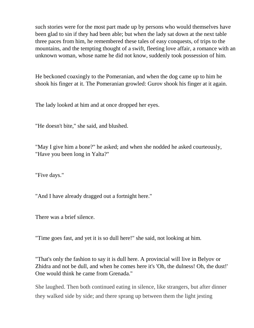such stories were for the most part made up by persons who would themselves have been glad to sin if they had been able; but when the lady sat down at the next table three paces from him, he remembered these tales of easy conquests, of trips to the mountains, and the tempting thought of a swift, fleeting love affair, a romance with an unknown woman, whose name he did not know, suddenly took possession of him.

He beckoned coaxingly to the Pomeranian, and when the dog came up to him he shook his finger at it. The Pomeranian growled: Gurov shook his finger at it again.

The lady looked at him and at once dropped her eyes.

"He doesn't bite," she said, and blushed.

"May I give him a bone?" he asked; and when she nodded he asked courteously, "Have you been long in Yalta?"

"Five days."

"And I have already dragged out a fortnight here."

There was a brief silence.

"Time goes fast, and yet it is so dull here!" she said, not looking at him.

"That's only the fashion to say it is dull here. A provincial will live in Belyov or Zhidra and not be dull, and when he comes here it's 'Oh, the dulness! Oh, the dust!' One would think he came from Grenada."

She laughed. Then both continued eating in silence, like strangers, but after dinner they walked side by side; and there sprang up between them the light jesting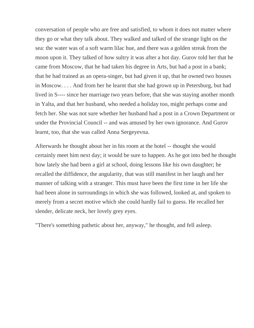conversation of people who are free and satisfied, to whom it does not matter where they go or what they talk about. They walked and talked of the strange light on the sea: the water was of a soft warm lilac hue, and there was a golden streak from the moon upon it. They talked of how sultry it was after a hot day. Gurov told her that he came from Moscow, that he had taken his degree in Arts, but had a post in a bank; that he had trained as an opera-singer, but had given it up, that he owned two houses in Moscow. . . . And from her he learnt that she had grown up in Petersburg, but had lived in S---- since her marriage two years before, that she was staying another month in Yalta, and that her husband, who needed a holiday too, might perhaps come and fetch her. She was not sure whether her husband had a post in a Crown Department or under the Provincial Council -- and was amused by her own ignorance. And Gurov learnt, too, that she was called Anna Sergeyevna.

Afterwards he thought about her in his room at the hotel -- thought she would certainly meet him next day; it would be sure to happen. As he got into bed he thought how lately she had been a girl at school, doing lessons like his own daughter; he recalled the diffidence, the angularity, that was still manifest in her laugh and her manner of talking with a stranger. This must have been the first time in her life she had been alone in surroundings in which she was followed, looked at, and spoken to merely from a secret motive which she could hardly fail to guess. He recalled her slender, delicate neck, her lovely grey eyes.

"There's something pathetic about her, anyway," he thought, and fell asleep.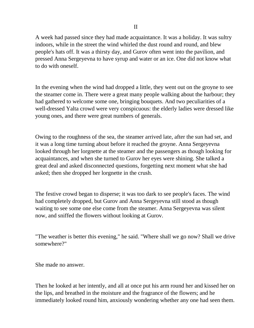A week had passed since they had made acquaintance. It was a holiday. It was sultry indoors, while in the street the wind whirled the dust round and round, and blew people's hats off. It was a thirsty day, and Gurov often went into the pavilion, and pressed Anna Sergeyevna to have syrup and water or an ice. One did not know what to do with oneself.

In the evening when the wind had dropped a little, they went out on the groyne to see the steamer come in. There were a great many people walking about the harbour; they had gathered to welcome some one, bringing bouquets. And two peculiarities of a well-dressed Yalta crowd were very conspicuous: the elderly ladies were dressed like young ones, and there were great numbers of generals.

Owing to the roughness of the sea, the steamer arrived late, after the sun had set, and it was a long time turning about before it reached the groyne. Anna Sergeyevna looked through her lorgnette at the steamer and the passengers as though looking for acquaintances, and when she turned to Gurov her eyes were shining. She talked a great deal and asked disconnected questions, forgetting next moment what she had asked; then she dropped her lorgnette in the crush.

The festive crowd began to disperse; it was too dark to see people's faces. The wind had completely dropped, but Gurov and Anna Sergeyevna still stood as though waiting to see some one else come from the steamer. Anna Sergeyevna was silent now, and sniffed the flowers without looking at Gurov.

"The weather is better this evening," he said. "Where shall we go now? Shall we drive somewhere?"

She made no answer.

Then he looked at her intently, and all at once put his arm round her and kissed her on the lips, and breathed in the moisture and the fragrance of the flowers; and he immediately looked round him, anxiously wondering whether any one had seen them.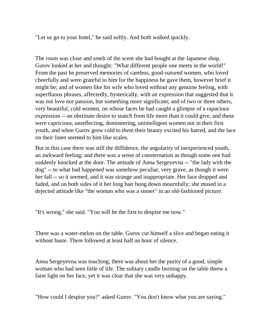"Let us go to your hotel," he said softly. And both walked quickly.

The room was close and smelt of the scent she had bought at the Japanese shop. Gurov looked at her and thought: "What different people one meets in the world!" From the past he preserved memories of careless, good-natured women, who loved cheerfully and were grateful to him for the happiness he gave them, however brief it might be; and of women like his wife who loved without any genuine feeling, with superfluous phrases, affectedly, hysterically, with an expression that suggested that it was not love nor passion, but something more significant; and of two or three others, very beautiful, cold women, on whose faces he had caught a glimpse of a rapacious expression -- an obstinate desire to snatch from life more than it could give, and these were capricious, unreflecting, domineering, unintelligent women not in their first youth, and when Gurov grew cold to them their beauty excited his hatred, and the lace on their linen seemed to him like scales.

But in this case there was still the diffidence, the angularity of inexperienced youth, an awkward feeling; and there was a sense of consternation as though some one had suddenly knocked at the door. The attitude of Anna Sergeyevna -- "the lady with the dog" -- to what had happened was somehow peculiar, very grave, as though it were her fall -- so it seemed, and it was strange and inappropriate. Her face dropped and faded, and on both sides of it her long hair hung down mournfully; she mused in a dejected attitude like "the woman who was a sinner" in an old-fashioned picture.

"It's wrong," she said. "You will be the first to despise me now."

There was a water-melon on the table. Gurov cut himself a slice and began eating it without haste. There followed at least half an hour of silence.

Anna Sergeyevna was touching; there was about her the purity of a good, simple woman who had seen little of life. The solitary candle burning on the table threw a faint light on her face, yet it was clear that she was very unhappy.

"How could I despise you?" asked Gurov. "You don't know what you are saying."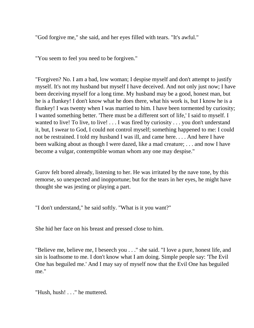"God forgive me," she said, and her eyes filled with tears. "It's awful."

"You seem to feel you need to be forgiven."

"Forgiven? No. I am a bad, low woman; I despise myself and don't attempt to justify myself. It's not my husband but myself I have deceived. And not only just now; I have been deceiving myself for a long time. My husband may be a good, honest man, but he is a flunkey! I don't know what he does there, what his work is, but I know he is a flunkey! I was twenty when I was married to him. I have been tormented by curiosity; I wanted something better. 'There must be a different sort of life,' I said to myself. I wanted to live! To live, to live! . . . I was fired by curiosity . . . you don't understand it, but, I swear to God, I could not control myself; something happened to me: I could not be restrained. I told my husband I was ill, and came here. . . . And here I have been walking about as though I were dazed, like a mad creature; . . . and now I have become a vulgar, contemptible woman whom any one may despise."

Gurov felt bored already, listening to her. He was irritated by the nave tone, by this remorse, so unexpected and inopportune; but for the tears in her eyes, he might have thought she was jesting or playing a part.

"I don't understand," he said softly. "What is it you want?"

She hid her face on his breast and pressed close to him.

"Believe me, believe me, I beseech you . . ." she said. "I love a pure, honest life, and sin is loathsome to me. I don't know what I am doing. Simple people say: 'The Evil One has beguiled me.' And I may say of myself now that the Evil One has beguiled me."

"Hush, hush! . . ." he muttered.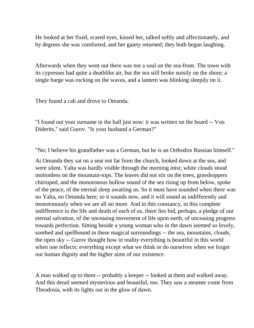He looked at her fixed, scared eyes, kissed her, talked softly and affectionately, and by degrees she was comforted, and her gaiety returned; they both began laughing.

Afterwards when they went out there was not a soul on the sea-front. The town with its cypresses had quite a deathlike air, but the sea still broke noisily on the shore; a single barge was rocking on the waves, and a lantern was blinking sleepily on it.

They found a cab and drove to Oreanda.

"I found out your surname in the hall just now: it was written on the board -- Von Diderits," said Gurov. "Is your husband a German?"

"No; I believe his grandfather was a German, but he is an Orthodox Russian himself."

At Oreanda they sat on a seat not far from the church, looked down at the sea, and were silent. Yalta was hardly visible through the morning mist; white clouds stood motionless on the mountain-tops. The leaves did not stir on the trees, grasshoppers chirruped, and the monotonous hollow sound of the sea rising up from below, spoke of the peace, of the eternal sleep awaiting us. So it must have sounded when there was no Yalta, no Oreanda here; so it sounds now, and it will sound as indifferently and monotonously when we are all no more. And in this constancy, in this complete indifference to the life and death of each of us, there lies hid, perhaps, a pledge of our eternal salvation, of the unceasing movement of life upon earth, of unceasing progress towards perfection. Sitting beside a young woman who in the dawn seemed so lovely, soothed and spellbound in these magical surroundings -- the sea, mountains, clouds, the open sky -- Gurov thought how in reality everything is beautiful in this world when one reflects: everything except what we think or do ourselves when we forget our human dignity and the higher aims of our existence.

A man walked up to them -- probably a keeper -- looked at them and walked away. And this detail seemed mysterious and beautiful, too. They saw a steamer come from Theodosia, with its lights out in the glow of dawn.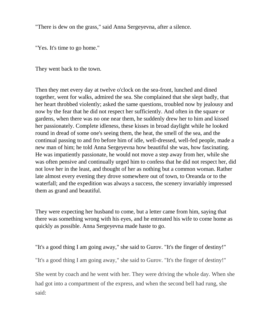"There is dew on the grass," said Anna Sergeyevna, after a silence.

"Yes. It's time to go home."

They went back to the town.

Then they met every day at twelve o'clock on the sea-front, lunched and dined together, went for walks, admired the sea. She complained that she slept badly, that her heart throbbed violently; asked the same questions, troubled now by jealousy and now by the fear that he did not respect her sufficiently. And often in the square or gardens, when there was no one near them, he suddenly drew her to him and kissed her passionately. Complete idleness, these kisses in broad daylight while he looked round in dread of some one's seeing them, the heat, the smell of the sea, and the continual passing to and fro before him of idle, well-dressed, well-fed people, made a new man of him; he told Anna Sergeyevna how beautiful she was, how fascinating. He was impatiently passionate, he would not move a step away from her, while she was often pensive and continually urged him to confess that he did not respect her, did not love her in the least, and thought of her as nothing but a common woman. Rather late almost every evening they drove somewhere out of town, to Oreanda or to the waterfall; and the expedition was always a success, the scenery invariably impressed them as grand and beautiful.

They were expecting her husband to come, but a letter came from him, saying that there was something wrong with his eyes, and he entreated his wife to come home as quickly as possible. Anna Sergeyevna made haste to go.

"It's a good thing I am going away," she said to Gurov. "It's the finger of destiny!"

"It's a good thing I am going away," she said to Gurov. "It's the finger of destiny!"

She went by coach and he went with her. They were driving the whole day. When she had got into a compartment of the express, and when the second bell had rung, she said: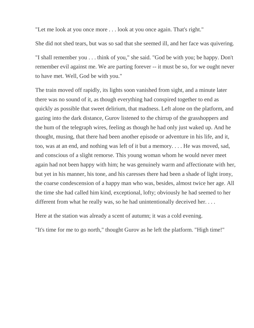"Let me look at you once more . . . look at you once again. That's right."

She did not shed tears, but was so sad that she seemed ill, and her face was quivering.

"I shall remember you . . . think of you," she said. "God be with you; be happy. Don't remember evil against me. We are parting forever -- it must be so, for we ought never to have met. Well, God be with you."

The train moved off rapidly, its lights soon vanished from sight, and a minute later there was no sound of it, as though everything had conspired together to end as quickly as possible that sweet delirium, that madness. Left alone on the platform, and gazing into the dark distance, Gurov listened to the chirrup of the grasshoppers and the hum of the telegraph wires, feeling as though he had only just waked up. And he thought, musing, that there had been another episode or adventure in his life, and it, too, was at an end, and nothing was left of it but a memory. . . . He was moved, sad, and conscious of a slight remorse. This young woman whom he would never meet again had not been happy with him; he was genuinely warm and affectionate with her, but yet in his manner, his tone, and his caresses there had been a shade of light irony, the coarse condescension of a happy man who was, besides, almost twice her age. All the time she had called him kind, exceptional, lofty; obviously he had seemed to her different from what he really was, so he had unintentionally deceived her....

Here at the station was already a scent of autumn; it was a cold evening.

"It's time for me to go north," thought Gurov as he left the platform. "High time!"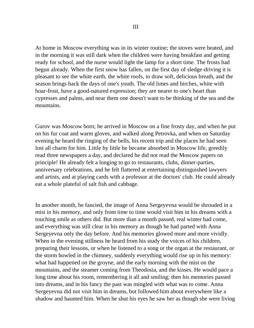At home in Moscow everything was in its winter routine; the stoves were heated, and in the morning it was still dark when the children were having breakfast and getting ready for school, and the nurse would light the lamp for a short time. The frosts had begun already. When the first snow has fallen, on the first day of sledge-driving it is pleasant to see the white earth, the white roofs, to draw soft, delicious breath, and the season brings back the days of one's youth. The old limes and birches, white with hoar-frost, have a good-natured expression; they are nearer to one's heart than cypresses and palms, and near them one doesn't want to be thinking of the sea and the mountains.

Gurov was Moscow born; he arrived in Moscow on a fine frosty day, and when he put on his fur coat and warm gloves, and walked along Petrovka, and when on Saturday evening he heard the ringing of the bells, his recent trip and the places he had seen lost all charm for him. Little by little he became absorbed in Moscow life, greedily read three newspapers a day, and declared he did not read the Moscow papers on principle! He already felt a longing to go to restaurants, clubs, dinner-parties, anniversary celebrations, and he felt flattered at entertaining distinguished lawyers and artists, and at playing cards with a professor at the doctors' club. He could already eat a whole plateful of salt fish and cabbage.

In another month, he fancied, the image of Anna Sergeyevna would be shrouded in a mist in his memory, and only from time to time would visit him in his dreams with a touching smile as others did. But more than a month passed, real winter had come, and everything was still clear in his memory as though he had parted with Anna Sergeyevna only the day before. And his memories glowed more and more vividly. When in the evening stillness he heard from his study the voices of his children, preparing their lessons, or when he listened to a song or the organ at the restaurant, or the storm howled in the chimney, suddenly everything would rise up in his memory: what had happened on the groyne, and the early morning with the mist on the mountains, and the steamer coming from Theodosia, and the kisses. He would pace a long time about his room, remembering it all and smiling; then his memories passed into dreams, and in his fancy the past was mingled with what was to come. Anna Sergeyevna did not visit him in dreams, but followed him about everywhere like a shadow and haunted him. When he shut his eyes he saw her as though she were living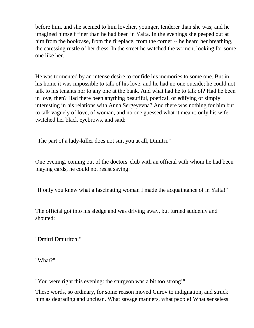before him, and she seemed to him lovelier, younger, tenderer than she was; and he imagined himself finer than he had been in Yalta. In the evenings she peeped out at him from the bookcase, from the fireplace, from the corner -- he heard her breathing, the caressing rustle of her dress. In the street he watched the women, looking for some one like her.

He was tormented by an intense desire to confide his memories to some one. But in his home it was impossible to talk of his love, and he had no one outside; he could not talk to his tenants nor to any one at the bank. And what had he to talk of? Had he been in love, then? Had there been anything beautiful, poetical, or edifying or simply interesting in his relations with Anna Sergeyevna? And there was nothing for him but to talk vaguely of love, of woman, and no one guessed what it meant; only his wife twitched her black eyebrows, and said:

"The part of a lady-killer does not suit you at all, Dimitri."

One evening, coming out of the doctors' club with an official with whom he had been playing cards, he could not resist saying:

"If only you knew what a fascinating woman I made the acquaintance of in Yalta!"

The official got into his sledge and was driving away, but turned suddenly and shouted:

"Dmitri Dmitritch!"

"What?"

"You were right this evening: the sturgeon was a bit too strong!"

These words, so ordinary, for some reason moved Gurov to indignation, and struck him as degrading and unclean. What savage manners, what people! What senseless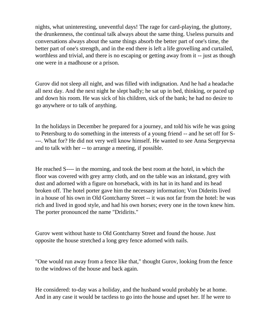nights, what uninteresting, uneventful days! The rage for card-playing, the gluttony, the drunkenness, the continual talk always about the same thing. Useless pursuits and conversations always about the same things absorb the better part of one's time, the better part of one's strength, and in the end there is left a life grovelling and curtailed, worthless and trivial, and there is no escaping or getting away from it -- just as though one were in a madhouse or a prison.

Gurov did not sleep all night, and was filled with indignation. And he had a headache all next day. And the next night he slept badly; he sat up in bed, thinking, or paced up and down his room. He was sick of his children, sick of the bank; he had no desire to go anywhere or to talk of anything.

In the holidays in December he prepared for a journey, and told his wife he was going to Petersburg to do something in the interests of a young friend -- and he set off for S- ---. What for? He did not very well know himself. He wanted to see Anna Sergeyevna and to talk with her -- to arrange a meeting, if possible.

He reached S---- in the morning, and took the best room at the hotel, in which the floor was covered with grey army cloth, and on the table was an inkstand, grey with dust and adorned with a figure on horseback, with its hat in its hand and its head broken off. The hotel porter gave him the necessary information; Von Diderits lived in a house of his own in Old Gontcharny Street -- it was not far from the hotel: he was rich and lived in good style, and had his own horses; every one in the town knew him. The porter pronounced the name "Dridirits."

Gurov went without haste to Old Gontcharny Street and found the house. Just opposite the house stretched a long grey fence adorned with nails.

"One would run away from a fence like that," thought Gurov, looking from the fence to the windows of the house and back again.

He considered: to-day was a holiday, and the husband would probably be at home. And in any case it would be tactless to go into the house and upset her. If he were to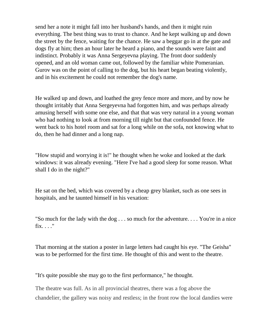send her a note it might fall into her husband's hands, and then it might ruin everything. The best thing was to trust to chance. And he kept walking up and down the street by the fence, waiting for the chance. He saw a beggar go in at the gate and dogs fly at him; then an hour later he heard a piano, and the sounds were faint and indistinct. Probably it was Anna Sergeyevna playing. The front door suddenly opened, and an old woman came out, followed by the familiar white Pomeranian. Gurov was on the point of calling to the dog, but his heart began beating violently, and in his excitement he could not remember the dog's name.

He walked up and down, and loathed the grey fence more and more, and by now he thought irritably that Anna Sergeyevna had forgotten him, and was perhaps already amusing herself with some one else, and that that was very natural in a young woman who had nothing to look at from morning till night but that confounded fence. He went back to his hotel room and sat for a long while on the sofa, not knowing what to do, then he had dinner and a long nap.

"How stupid and worrying it is!" he thought when he woke and looked at the dark windows: it was already evening. "Here I've had a good sleep for some reason. What shall I do in the night?"

He sat on the bed, which was covered by a cheap grey blanket, such as one sees in hospitals, and he taunted himself in his vexation:

"So much for the lady with the dog . . . so much for the adventure. . . . You're in a nice fix. . . ."

That morning at the station a poster in large letters had caught his eye. "The Geisha" was to be performed for the first time. He thought of this and went to the theatre.

"It's quite possible she may go to the first performance," he thought.

The theatre was full. As in all provincial theatres, there was a fog above the chandelier, the gallery was noisy and restless; in the front row the local dandies were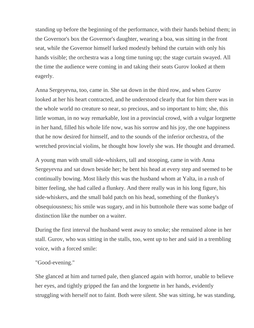standing up before the beginning of the performance, with their hands behind them; in the Governor's box the Governor's daughter, wearing a boa, was sitting in the front seat, while the Governor himself lurked modestly behind the curtain with only his hands visible; the orchestra was a long time tuning up; the stage curtain swayed. All the time the audience were coming in and taking their seats Gurov looked at them eagerly.

Anna Sergeyevna, too, came in. She sat down in the third row, and when Gurov looked at her his heart contracted, and he understood clearly that for him there was in the whole world no creature so near, so precious, and so important to him; she, this little woman, in no way remarkable, lost in a provincial crowd, with a vulgar lorgnette in her hand, filled his whole life now, was his sorrow and his joy, the one happiness that he now desired for himself, and to the sounds of the inferior orchestra, of the wretched provincial violins, he thought how lovely she was. He thought and dreamed.

A young man with small side-whiskers, tall and stooping, came in with Anna Sergeyevna and sat down beside her; he bent his head at every step and seemed to be continually bowing. Most likely this was the husband whom at Yalta, in a rush of bitter feeling, she had called a flunkey. And there really was in his long figure, his side-whiskers, and the small bald patch on his head, something of the flunkey's obsequiousness; his smile was sugary, and in his buttonhole there was some badge of distinction like the number on a waiter.

During the first interval the husband went away to smoke; she remained alone in her stall. Gurov, who was sitting in the stalls, too, went up to her and said in a trembling voice, with a forced smile:

## "Good-evening."

She glanced at him and turned pale, then glanced again with horror, unable to believe her eyes, and tightly gripped the fan and the lorgnette in her hands, evidently struggling with herself not to faint. Both were silent. She was sitting, he was standing,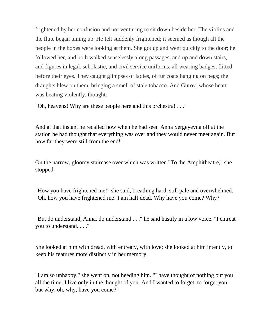frightened by her confusion and not venturing to sit down beside her. The violins and the flute began tuning up. He felt suddenly frightened; it seemed as though all the people in the boxes were looking at them. She got up and went quickly to the door; he followed her, and both walked senselessly along passages, and up and down stairs, and figures in legal, scholastic, and civil service uniforms, all wearing badges, flitted before their eyes. They caught glimpses of ladies, of fur coats hanging on pegs; the draughts blew on them, bringing a smell of stale tobacco. And Gurov, whose heart was beating violently, thought:

"Oh, heavens! Why are these people here and this orchestra! . . ."

And at that instant he recalled how when he had seen Anna Sergeyevna off at the station he had thought that everything was over and they would never meet again. But how far they were still from the end!

On the narrow, gloomy staircase over which was written "To the Amphitheatre," she stopped.

"How you have frightened me!" she said, breathing hard, still pale and overwhelmed. "Oh, how you have frightened me! I am half dead. Why have you come? Why?"

"But do understand, Anna, do understand . . ." he said hastily in a low voice. "I entreat you to understand. . . ."

She looked at him with dread, with entreaty, with love; she looked at him intently, to keep his features more distinctly in her memory.

"I am so unhappy," she went on, not heeding him. "I have thought of nothing but you all the time; I live only in the thought of you. And I wanted to forget, to forget you; but why, oh, why, have you come?"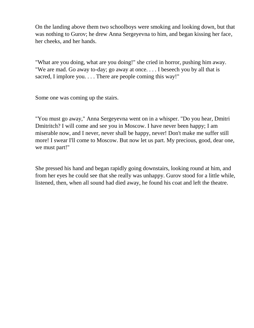On the landing above them two schoolboys were smoking and looking down, but that was nothing to Gurov; he drew Anna Sergeyevna to him, and began kissing her face, her cheeks, and her hands.

"What are you doing, what are you doing!" she cried in horror, pushing him away. "We are mad. Go away to-day; go away at once. . . . I beseech you by all that is sacred, I implore you. . . . There are people coming this way!"

Some one was coming up the stairs.

"You must go away," Anna Sergeyevna went on in a whisper. "Do you hear, Dmitri Dmitritch? I will come and see you in Moscow. I have never been happy; I am miserable now, and I never, never shall be happy, never! Don't make me suffer still more! I swear I'll come to Moscow. But now let us part. My precious, good, dear one, we must part!"

She pressed his hand and began rapidly going downstairs, looking round at him, and from her eyes he could see that she really was unhappy. Gurov stood for a little while, listened, then, when all sound had died away, he found his coat and left the theatre.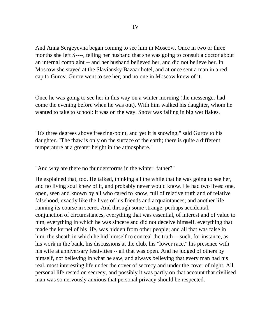And Anna Sergeyevna began coming to see him in Moscow. Once in two or three months she left S----, telling her husband that she was going to consult a doctor about an internal complaint -- and her husband believed her, and did not believe her. In Moscow she stayed at the Slaviansky Bazaar hotel, and at once sent a man in a red cap to Gurov. Gurov went to see her, and no one in Moscow knew of it.

Once he was going to see her in this way on a winter morning (the messenger had come the evening before when he was out). With him walked his daughter, whom he wanted to take to school: it was on the way. Snow was falling in big wet flakes.

"It's three degrees above freezing-point, and yet it is snowing," said Gurov to his daughter. "The thaw is only on the surface of the earth; there is quite a different temperature at a greater height in the atmosphere."

"And why are there no thunderstorms in the winter, father?"

He explained that, too. He talked, thinking all the while that he was going to see her, and no living soul knew of it, and probably never would know. He had two lives: one, open, seen and known by all who cared to know, full of relative truth and of relative falsehood, exactly like the lives of his friends and acquaintances; and another life running its course in secret. And through some strange, perhaps accidental, conjunction of circumstances, everything that was essential, of interest and of value to him, everything in which he was sincere and did not deceive himself, everything that made the kernel of his life, was hidden from other people; and all that was false in him, the sheath in which he hid himself to conceal the truth -- such, for instance, as his work in the bank, his discussions at the club, his "lower race," his presence with his wife at anniversary festivities -- all that was open. And he judged of others by himself, not believing in what he saw, and always believing that every man had his real, most interesting life under the cover of secrecy and under the cover of night. All personal life rested on secrecy, and possibly it was partly on that account that civilised man was so nervously anxious that personal privacy should be respected.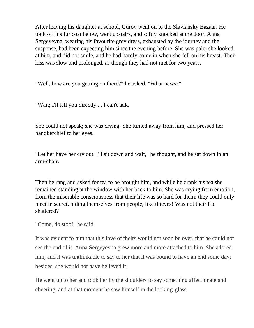After leaving his daughter at school, Gurov went on to the Slaviansky Bazaar. He took off his fur coat below, went upstairs, and softly knocked at the door. Anna Sergeyevna, wearing his favourite grey dress, exhausted by the journey and the suspense, had been expecting him since the evening before. She was pale; she looked at him, and did not smile, and he had hardly come in when she fell on his breast. Their kiss was slow and prolonged, as though they had not met for two years.

"Well, how are you getting on there?" he asked. "What news?"

"Wait; I'll tell you directly.... I can't talk."

She could not speak; she was crying. She turned away from him, and pressed her handkerchief to her eyes.

"Let her have her cry out. I'll sit down and wait," he thought, and he sat down in an arm-chair.

Then he rang and asked for tea to be brought him, and while he drank his tea she remained standing at the window with her back to him. She was crying from emotion, from the miserable consciousness that their life was so hard for them; they could only meet in secret, hiding themselves from people, like thieves! Was not their life shattered?

"Come, do stop!" he said.

It was evident to him that this love of theirs would not soon be over, that he could not see the end of it. Anna Sergeyevna grew more and more attached to him. She adored him, and it was unthinkable to say to her that it was bound to have an end some day; besides, she would not have believed it!

He went up to her and took her by the shoulders to say something affectionate and cheering, and at that moment he saw himself in the looking-glass.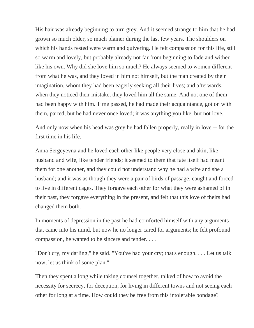His hair was already beginning to turn grey. And it seemed strange to him that he had grown so much older, so much plainer during the last few years. The shoulders on which his hands rested were warm and quivering. He felt compassion for this life, still so warm and lovely, but probably already not far from beginning to fade and wither like his own. Why did she love him so much? He always seemed to women different from what he was, and they loved in him not himself, but the man created by their imagination, whom they had been eagerly seeking all their lives; and afterwards, when they noticed their mistake, they loved him all the same. And not one of them had been happy with him. Time passed, he had made their acquaintance, got on with them, parted, but he had never once loved; it was anything you like, but not love.

And only now when his head was grey he had fallen properly, really in love -- for the first time in his life.

Anna Sergeyevna and he loved each other like people very close and akin, like husband and wife, like tender friends; it seemed to them that fate itself had meant them for one another, and they could not understand why he had a wife and she a husband; and it was as though they were a pair of birds of passage, caught and forced to live in different cages. They forgave each other for what they were ashamed of in their past, they forgave everything in the present, and felt that this love of theirs had changed them both.

In moments of depression in the past he had comforted himself with any arguments that came into his mind, but now he no longer cared for arguments; he felt profound compassion, he wanted to be sincere and tender. . . .

"Don't cry, my darling," he said. "You've had your cry; that's enough. . . . Let us talk now, let us think of some plan."

Then they spent a long while taking counsel together, talked of how to avoid the necessity for secrecy, for deception, for living in different towns and not seeing each other for long at a time. How could they be free from this intolerable bondage?